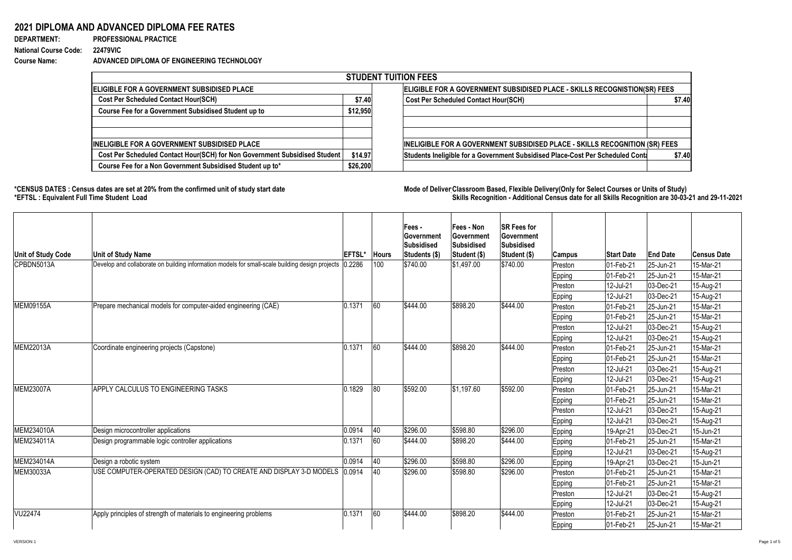## **2021 DIPLOMA AND ADVANCED DIPLOMA FEE RATES**

**DEPARTMENT: PROFESSIONAL PRACTICE** 

**National Course Code: 22479VIC Course Name: ADVANCED DIPLOMA OF ENGINEERING TECHNOLOGY**

\*CENSUS DATES : Census dates are set at 20% from the confirmed unit of study start date **Mode of Deliver Classroom Based, Flexible Delivery(Only for Select Courses or Units of Study) \*EFTSL : Equivalent Full Time Student Load Skills Recognition - Additional Census date for all Skills Recognition are 30-03-21 and 29-11-2021** 

| <b>STUDENT TUITION FEES</b>                                                |          |                                                                                |        |  |  |  |  |  |  |
|----------------------------------------------------------------------------|----------|--------------------------------------------------------------------------------|--------|--|--|--|--|--|--|
| <b>IELIGIBLE FOR A GOVERNMENT SUBSIDISED PLACE</b>                         |          | ELIGIBLE FOR A GOVERNMENT SUBSIDISED PLACE - SKILLS RECOGNISTION(SR) FEES      |        |  |  |  |  |  |  |
| <b>Cost Per Scheduled Contact Hour(SCH)</b>                                | \$7.40   | <b>Cost Per Scheduled Contact Hour(SCH)</b>                                    | \$7.40 |  |  |  |  |  |  |
| <b>Course Fee for a Government Subsidised Student up to</b>                | \$12,950 |                                                                                |        |  |  |  |  |  |  |
|                                                                            |          |                                                                                |        |  |  |  |  |  |  |
|                                                                            |          |                                                                                |        |  |  |  |  |  |  |
| <b>INELIGIBLE FOR A GOVERNMENT SUBSIDISED PLACE</b>                        |          | INELIGIBLE FOR A GOVERNMENT SUBSIDISED PLACE - SKILLS RECOGNITION (SR) FEES    |        |  |  |  |  |  |  |
| Cost Per Scheduled Contact Hour(SCH) for Non Government Subsidised Student | \$14.97  | Students Ineligible for a Government Subsidised Place-Cost Per Scheduled Conta | \$7.40 |  |  |  |  |  |  |
| Course Fee for a Non Government Subsidised Student up to*                  | \$26,200 |                                                                                |        |  |  |  |  |  |  |

| Unit of Study Code | <b>Unit of Study Name</b>                                                                               | <b>EFTSL*</b> | <b>Hours</b> | $ Fees -$<br><b>Sovernment</b><br><b>Subsidised</b><br>Students (\$) | <b>Fees - Non</b><br><b>Government</b><br><b>Subsidised</b><br>Student (\$) | <b>SR Fees for</b><br><b>Sovernment</b><br><b>Subsidised</b><br> Student (\$) | <b>Campus</b> | <b>Start Date</b>        | <b>End Date</b>   | <b>Census Date</b> |
|--------------------|---------------------------------------------------------------------------------------------------------|---------------|--------------|----------------------------------------------------------------------|-----------------------------------------------------------------------------|-------------------------------------------------------------------------------|---------------|--------------------------|-------------------|--------------------|
| CPBDN5013A         | Develop and collaborate on building information models for small-scale building design projects (0.2286 |               | 100          | \$740.00                                                             | \$1,497.00                                                                  | \$740.00                                                                      | Preston       | 01-Feb-21                | $ 25 - Jun-21 $   | 15-Mar-21          |
|                    |                                                                                                         |               |              |                                                                      |                                                                             |                                                                               | Epping        | 01-Feb-21                | $ 25 - Jun-21 $   | 15-Mar-21          |
|                    |                                                                                                         |               |              |                                                                      |                                                                             |                                                                               | Preston       | 12-Jul-21                | $ 03 - Dec-21 $   | 15-Aug-21          |
|                    |                                                                                                         |               |              |                                                                      |                                                                             |                                                                               | <b>Epping</b> | 12-Jul-21                | $ 03 - Dec-21 $   | 15-Aug-21          |
| MEM09155A          | Prepare mechanical models for computer-aided engineering (CAE)                                          | 0.1371        | 60           | \$444.00                                                             | \$898.20                                                                    | \$444.00                                                                      | Preston       | 01-Feb-21                | $ 25 - Jun-21 $   | 15-Mar-21          |
|                    |                                                                                                         |               |              |                                                                      |                                                                             |                                                                               | Epping        | $ 01 - Feb - 21 $        | $ 25 - Jun-21 $   | 15-Mar-21          |
|                    |                                                                                                         |               |              |                                                                      |                                                                             |                                                                               | Preston       | 12-Jul-21                | $ 03 - Dec-21 $   | 15-Aug-21          |
|                    |                                                                                                         |               |              |                                                                      |                                                                             |                                                                               | Epping        | 12-Jul-21                | $ 03 - Dec-21 $   | 15-Aug-21          |
| <b>MEM22013A</b>   | Coordinate engineering projects (Capstone)                                                              | 0.1371        | 60           | \$444.00                                                             | \$898.20                                                                    | \$444.00                                                                      | Preston       | 01-Feb-21                | $ 25 - Jun-21 $   | 15-Mar-21          |
|                    |                                                                                                         |               |              |                                                                      |                                                                             |                                                                               | <b>Epping</b> | 01-Feb-21                | $ 25 - Jun-21 $   | 15-Mar-21          |
|                    |                                                                                                         |               |              |                                                                      |                                                                             |                                                                               | Preston       | 12-Jul-21                | $ 03 - Dec-21 $   | 15-Aug-21          |
|                    |                                                                                                         |               |              |                                                                      |                                                                             |                                                                               | Epping        | 12-Jul-21                | $ 03 - Dec-21 $   | 15-Aug-21          |
| MEM23007A          | <b>APPLY CALCULUS TO ENGINEERING TASKS</b>                                                              | 0.1829        | 80           | \$592.00                                                             | $\frac{1}{31,197.60}$                                                       | \$592.00                                                                      | Preston       | $ 01 - \text{Feb} - 21 $ | $ 25 - Jun - 21 $ | 15-Mar-21          |
|                    |                                                                                                         |               |              |                                                                      |                                                                             |                                                                               | Epping        | 01-Feb-21                | 25-Jun-21         | $ 15$ -Mar-21      |
|                    |                                                                                                         |               |              |                                                                      |                                                                             |                                                                               | Preston       | 12-Jul-21                | $ 03 - Dec-21 $   | 15-Aug-21          |
|                    |                                                                                                         |               |              |                                                                      |                                                                             |                                                                               | Epping        | 12-Jul-21                | $ 03 - Dec-21 $   | 15-Aug-21          |
| MEM234010A         | Design microcontroller applications                                                                     | 0.0914        | 40           | \$296.00                                                             | \$598.80                                                                    | \$296.00                                                                      | <b>Epping</b> | 19-Apr-21                | $ 03 - Dec-21 $   | 15-Jun-21          |
| MEM234011A         | Design programmable logic controller applications                                                       | 0.1371        | 160          | \$444.00                                                             | \$898.20                                                                    | \$444.00                                                                      | <b>Epping</b> | 01-Feb-21                | $ 25 - Jun-21 $   | 15-Mar-21          |
|                    |                                                                                                         |               |              |                                                                      |                                                                             |                                                                               | <b>Epping</b> | 12-Jul-21                | $ 03 - Dec-21 $   | 15-Aug-21          |
| MEM234014A         | Design a robotic system                                                                                 | 0.0914        | 40           | \$296.00                                                             | \$598.80                                                                    | \$296.00                                                                      | <b>Epping</b> | 19-Apr-21                | $ 03 - Dec-21 $   | 15-Jun-21          |
| MEM30033A          | USE COMPUTER-OPERATED DESIGN (CAD) TO CREATE AND DISPLAY 3-D MODELS 10.0914                             |               | 40           | \$296.00                                                             | \$598.80                                                                    | \$296.00                                                                      | Preston       | 01-Feb-21                | $ 25 - Jun - 21 $ | 15-Mar-21          |
|                    |                                                                                                         |               |              |                                                                      |                                                                             |                                                                               | Epping        | 01-Feb-21                | $ 25 - Jun - 21 $ | 15-Mar-21          |
|                    |                                                                                                         |               |              |                                                                      |                                                                             |                                                                               | Preston       | 12-Jul-21                | $ 03$ -Dec-21     | 15-Aug-21          |
|                    |                                                                                                         |               |              |                                                                      |                                                                             |                                                                               | Epping        | 12-Jul-21                | $ 03 - Dec-21 $   | 15-Aug-21          |
| VU22474            | Apply principles of strength of materials to engineering problems                                       | 0.1371        | 60           | \$444.00                                                             | \$898.20                                                                    | \$444.00                                                                      | Preston       | 01-Feb-21                | $ 25 - Jun-21 $   | 15-Mar-21          |
|                    |                                                                                                         |               |              |                                                                      |                                                                             |                                                                               | <b>Epping</b> | 01-Feb-21_               | $ 25 - Jun-21 $   | 15-Mar-21          |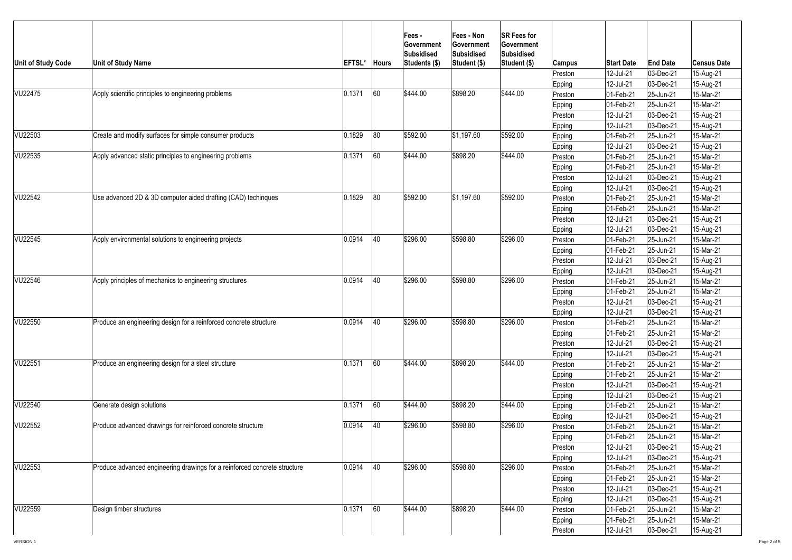| Unit of Study Code | <b>Unit of Study Name</b>                                                 | <b>EFTSL</b> | <b>Hours</b> | <b>Fees-</b><br><b>Sovernment</b><br>Subsidised<br>Students (\$) | <b>Fees - Non</b><br><b>Government</b><br><b>Subsidised</b><br>Student (\$) | <b>SR Fees for</b><br><b>Government</b><br><b>Subsidised</b><br>Student (\$) | Campus            | <b>Start Date</b>      | <b>End Date</b>              | <b>Census Date</b>     |
|--------------------|---------------------------------------------------------------------------|--------------|--------------|------------------------------------------------------------------|-----------------------------------------------------------------------------|------------------------------------------------------------------------------|-------------------|------------------------|------------------------------|------------------------|
|                    |                                                                           |              |              |                                                                  |                                                                             |                                                                              | Preston           | 12-Jul-21              | $ 03 - Dec-21$               | 15-Aug-21              |
|                    |                                                                           |              |              |                                                                  |                                                                             |                                                                              | Epping            | 12-Jul-21              | $ 03 - Dec-21$               | 15-Aug-21              |
| VU22475            | Apply scientific principles to engineering problems                       | 0.1371       | 60           | \$444.00                                                         | \$898.20                                                                    | \$444.00                                                                     | Preston           | 01-Feb-21              | $ 25 - Jun-21$               | 15-Mar-21              |
|                    |                                                                           |              |              |                                                                  |                                                                             |                                                                              | <b>Epping</b>     | 01-Feb-21              | $ 25 - Jun-21$               | 15-Mar-21              |
|                    |                                                                           |              |              |                                                                  |                                                                             |                                                                              | Preston           | 12-Jul-21              | $ 03 - Dec-21$               | 15-Aug-21              |
|                    |                                                                           |              |              |                                                                  |                                                                             |                                                                              | <b>Epping</b>     | 12-Jul-21              | $ 03 - Dec-21$               | 15-Aug-21              |
| VU22503            | Create and modify surfaces for simple consumer products                   | 0.1829       | 80           | \$592.00                                                         | \$1,197.60                                                                  | \$592.00                                                                     | <b>Epping</b>     | 01-Feb-21              | $ 25 - Jun-21 $              | 15-Mar-21              |
|                    |                                                                           |              |              | \$444.00                                                         | \$898.20                                                                    | \$444.00                                                                     | <b>Epping</b>     | 12-Jul-21              | $ 03 - Dec-21$               | 15-Aug-21              |
| VU22535            | Apply advanced static principles to engineering problems                  | 0.1371       | 60           |                                                                  |                                                                             |                                                                              | Preston           | 01-Feb-21              | 25-Jun-21                    | 15-Mar-21              |
|                    |                                                                           |              |              |                                                                  |                                                                             |                                                                              | Epping            | 01-Feb-21              | $ 25 - Jun-21$               | 15-Mar-21              |
|                    |                                                                           |              |              |                                                                  |                                                                             |                                                                              | Preston           | 12-Jul-21              | $ 03 - Dec-21$               | 15-Aug-21              |
| VU22542            | Use advanced 2D & 3D computer aided drafting (CAD) techingues             | 0.1829       | 80           | \$592.00                                                         | \$1,197.60                                                                  | \$592.00                                                                     | <b>Epping</b>     | 12-Jul-21<br>01-Feb-21 | $ 03 - Dec-21$               | 15-Aug-21<br>15-Mar-21 |
|                    |                                                                           |              |              |                                                                  |                                                                             |                                                                              | Preston           | 01-Feb-21              | $ 25 - Jun-21 $<br>25-Jun-21 | 15-Mar-21              |
|                    |                                                                           |              |              |                                                                  |                                                                             |                                                                              | Epping<br>Preston | 12-Jul-21              | $ 03 - Dec-21$               | 15-Aug-21              |
|                    |                                                                           |              |              |                                                                  |                                                                             |                                                                              | Epping            | 12-Jul-21              | $ 03 - Dec-21$               | 15-Aug-21              |
| VU22545            | Apply environmental solutions to engineering projects                     | 0.0914       | 40           | \$296.00                                                         | \$598.80                                                                    | \$296.00                                                                     | Preston           | 01-Feb-21              | $ 25 - Jun-21$               | 15-Mar-21              |
|                    |                                                                           |              |              |                                                                  |                                                                             |                                                                              | Epping            | 01-Feb-21              | $ 25 - Jun-21$               | 15-Mar-21              |
|                    |                                                                           |              |              |                                                                  |                                                                             |                                                                              | Preston           | 12-Jul-21              | $ 03 - Dec-21$               | 15-Aug-21              |
|                    |                                                                           |              |              |                                                                  |                                                                             |                                                                              | Epping            | 12-Jul-21              | $ 03 - Dec-21$               | 15-Aug-21              |
| VU22546            | Apply principles of mechanics to engineering structures                   | 0.0914       | 40           | \$296.00                                                         | \$598.80                                                                    | \$296.00                                                                     | Preston           | 01-Feb-21              | $ 25 - Jun-21 $              | 15-Mar-21              |
|                    |                                                                           |              |              |                                                                  |                                                                             |                                                                              | Epping            | 01-Feb-21              | $ 25 - Jun-21 $              | 15-Mar-21              |
|                    |                                                                           |              |              |                                                                  |                                                                             |                                                                              | Preston           | 12-Jul-21              | $ 03 - Dec-21$               | 15-Aug-21              |
|                    |                                                                           |              |              |                                                                  |                                                                             |                                                                              | <b>Epping</b>     | 12-Jul-21              | $ 03 - Dec-21$               | 15-Aug-21              |
| VU22550            | Produce an engineering design for a reinforced concrete structure         | 0.0914       | 40           | \$296.00                                                         | \$598.80                                                                    | \$296.00                                                                     | Preston           | 01-Feb-21              | $ 25 - Jun - 21 $            | 15-Mar-21              |
|                    |                                                                           |              |              |                                                                  |                                                                             |                                                                              | Epping            | 01-Feb-21              | $ 25 - Jun - 21 $            | 15-Mar-21              |
|                    |                                                                           |              |              |                                                                  |                                                                             |                                                                              | Preston           | 12-Jul-21              | $ 03 - Dec-21 $              | 15-Aug-21              |
|                    |                                                                           |              |              |                                                                  |                                                                             |                                                                              | Epping            | 12-Jul-21              | $ 03 - Dec-21 $              | 15-Aug-21              |
| VU22551            | Produce an engineering design for a steel structure                       | 0.1371       | 60           | \$444.00                                                         | \$898.20                                                                    | \$444.00                                                                     | Preston           | 01-Feb-21              | $ 25 - Jun-21 $              | 15-Mar-21              |
|                    |                                                                           |              |              |                                                                  |                                                                             |                                                                              | Epping            | 01-Feb-21              | $ 25 - Jun - 21 $            | 15-Mar-21              |
|                    |                                                                           |              |              |                                                                  |                                                                             |                                                                              | Preston           | 12-Jul-21              | $ 03 - Dec-21$               | 15-Aug-21              |
|                    |                                                                           |              |              |                                                                  |                                                                             |                                                                              | Epping            | 12-Jul-21              | $ 03 - Dec-21$               | 15-Aug-21              |
| VU22540            | Generate design solutions                                                 | 0.1371       | 60           | $\frac{1}{2}444.00$                                              | \$898.20                                                                    | \$444.00                                                                     | <b>Epping</b>     | 01-Feb-21              | 25-Jun-21                    | 15-Mar-21              |
|                    |                                                                           |              |              |                                                                  |                                                                             |                                                                              | Epping            | 12-Jul-21              | $ 03 - Dec-21$               | 15-Aug-21              |
| VU22552            | Produce advanced drawings for reinforced concrete structure               | 0.0914       | 40           | \$296.00                                                         | \$598.80                                                                    | \$296.00                                                                     | Preston           | 01-Feb-21              | 25-Jun-21                    | 15-Mar-21              |
|                    |                                                                           |              |              |                                                                  |                                                                             |                                                                              | <b>Epping</b>     | 01-Feb-21              | $ 25 - Jun-21$               | 15-Mar-21              |
|                    |                                                                           |              |              |                                                                  |                                                                             |                                                                              | Preston           | 12-Jul-21              | $ 03 - Dec-21$               | 15-Aug-21              |
|                    |                                                                           |              |              |                                                                  |                                                                             |                                                                              | <b>Epping</b>     | 12-Jul-21              | $ 03 - Dec-21$               | 15-Aug-21              |
| VU22553            | Produce advanced engineering drawings for a reinforced concrete structure | 0.0914       | 40           | \$296.00                                                         | \$598.80                                                                    | \$296.00                                                                     | Preston           | 01-Feb-21              | $ 25 - Jun-21 $              | 15-Mar-21              |
|                    |                                                                           |              |              |                                                                  |                                                                             |                                                                              | Epping            | 01-Feb-21              | $ 25 - Jun - 21 $            | 15-Mar-21              |
|                    |                                                                           |              |              |                                                                  |                                                                             |                                                                              | Preston           | 12-Jul-21              | $ 03 - Dec-21$               | 15-Aug-21              |
|                    |                                                                           |              |              |                                                                  |                                                                             |                                                                              | Epping            | 12-Jul-21              | $ 03 - Dec-21$               | 15-Aug-21              |
| VU22559            | Design timber structures                                                  | 0.1371       | 60           | \$444.00                                                         | \$898.20                                                                    | \$444.00                                                                     | Preston           | 01-Feb-21              | $ 25 - Jun-21$               | 15-Mar-21              |
|                    |                                                                           |              |              |                                                                  |                                                                             |                                                                              | Epping            | 01-Feb-21              | $ 25 - Jun - 21 $            | 15-Mar-21              |
|                    |                                                                           |              |              |                                                                  |                                                                             |                                                                              | Preston           | 12-Jul-21              | $ 03 - Dec-21 $              | 15-Aug-21              |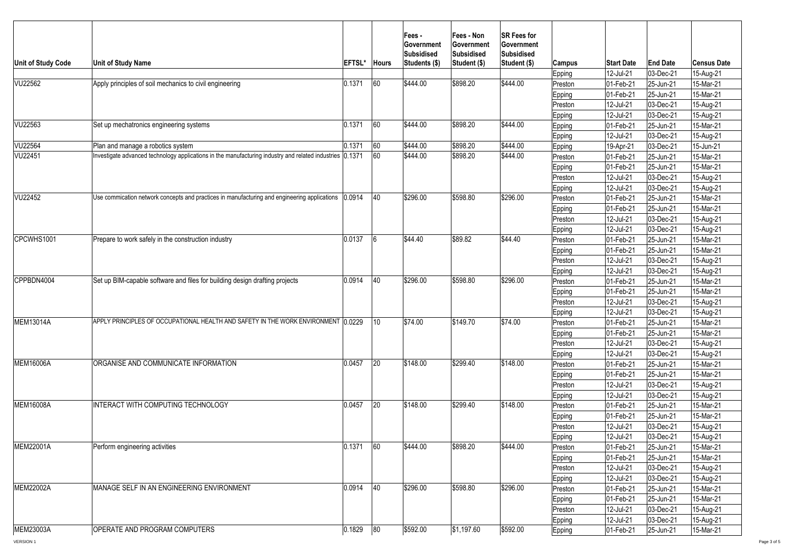| Unit of Study Code | <b>Unit of Study Name</b>                                                                                 | <b>EFTSL</b> | <b>Hours</b> | <b>Fees-</b><br><b>Government</b><br><b>Subsidised</b><br>Students (\$) | <b>Fees - Non</b><br>∣Government<br><b>Subsidised</b><br>Student (\$) | <b>SR Fees for</b><br>Government<br>Subsidised<br>Student (\$) | Campus        | <b>Start Date</b> | <b>End Date</b>   | <b>Census Date</b> |
|--------------------|-----------------------------------------------------------------------------------------------------------|--------------|--------------|-------------------------------------------------------------------------|-----------------------------------------------------------------------|----------------------------------------------------------------|---------------|-------------------|-------------------|--------------------|
|                    |                                                                                                           |              |              |                                                                         |                                                                       |                                                                | <b>Epping</b> | 12-Jul-21         | $ 03 - Dec-21 $   | 15-Aug-21          |
| VU22562            | Apply principles of soil mechanics to civil engineering                                                   | 0.1371       | 60           | \$444.00                                                                | \$898.20                                                              | \$444.00                                                       | Preston       | 01-Feb-21         | $ 25 - Jun-21 $   | 15-Mar-21          |
|                    |                                                                                                           |              |              |                                                                         |                                                                       |                                                                | Epping        | 01-Feb-21         | 25-Jun-21         | 15-Mar-21          |
|                    |                                                                                                           |              |              |                                                                         |                                                                       |                                                                | Preston       | 12-Jul-21         | $ 03 - Dec-21 $   | 15-Aug-21          |
|                    |                                                                                                           |              |              |                                                                         |                                                                       |                                                                | <b>Epping</b> | 12-Jul-21         | $ 03 - Dec-21$    | 15-Aug-21          |
| VU22563            | Set up mechatronics engineering systems                                                                   | 0.1371       | 60           | \$444.00                                                                | \$898.20                                                              | \$444.00                                                       | Epping        | 01-Feb-21         | 25-Jun-21         | 15-Mar-21          |
|                    |                                                                                                           |              |              |                                                                         |                                                                       |                                                                | Epping        | 12-Jul-21         | $ 03 - Dec-21 $   | 15-Aug-21          |
| VU22564            | Plan and manage a robotics system                                                                         | 0.1371       | 60           | \$444.00                                                                | \$898.20                                                              | \$444.00                                                       | <b>Epping</b> | 19-Apr-21         | $ 03 - Dec-21 $   | 15-Jun-21          |
| VU22451            | Investigate advanced technology applications in the manufacturing industry and related industries (0.1371 |              | 60           | $\frac{1}{9444.00}$                                                     | \$898.20                                                              | \$444.00                                                       | Preston       | 01-Feb-21         | 25-Jun-21         | 15-Mar-21          |
|                    |                                                                                                           |              |              |                                                                         |                                                                       |                                                                | <b>Epping</b> | 01-Feb-21         | $ 25 - Jun-21 $   | 15-Mar-21          |
|                    |                                                                                                           |              |              |                                                                         |                                                                       |                                                                | Preston       | 12-Jul-21         | $ 03 - Dec-21 $   | 15-Aug-21          |
|                    |                                                                                                           |              |              |                                                                         |                                                                       |                                                                | Epping        | 12-Jul-21         | $ 03 - Dec-21 $   | 15-Aug-21          |
| VU22452            | Use commication network concepts and practices in manufacturing and engineering applications (0.0914      |              | 40           | \$296.00                                                                | \$598.80                                                              | \$296.00                                                       | Preston       | 01-Feb-21         | $ 25 - Jun-21 $   | 15-Mar-21          |
|                    |                                                                                                           |              |              |                                                                         |                                                                       |                                                                | Epping        | $ 01 - Feb - 21 $ | 25-Jun-21         | 15-Mar-21          |
|                    |                                                                                                           |              |              |                                                                         |                                                                       |                                                                | Preston       | 12-Jul-21         | $ 03 - Dec-21 $   | 15-Aug-21          |
|                    |                                                                                                           |              |              |                                                                         |                                                                       |                                                                | Epping        | 12-Jul-21         | $ 03 - Dec-21$    | 15-Aug-21          |
| CPCWHS1001         | Prepare to work safely in the construction industry                                                       | 0.0137       |              | \$44.40                                                                 | \$89.82                                                               | \$44.40                                                        | Preston       | 01-Feb-21         | $ 25 - Jun-21$    | 15-Mar-21          |
|                    |                                                                                                           |              |              |                                                                         |                                                                       |                                                                | Epping        | 01-Feb-21         | $ 25 - Jun-21 $   | 15-Mar-21          |
|                    |                                                                                                           |              |              |                                                                         |                                                                       |                                                                | Preston       | 12-Jul-21         | $ 03 - Dec-21$    | 15-Aug-21          |
|                    |                                                                                                           |              |              |                                                                         |                                                                       |                                                                | Epping        | 12-Jul-21         | $ 03 - Dec-21 $   | 15-Aug-21          |
| CPPBDN4004         | Set up BIM-capable software and files for building design drafting projects                               | 0.0914       | 40           | \$296.00                                                                | \$598.80                                                              | \$296.00                                                       | Preston       | 01-Feb-21         | $ 25 - Jun - 21 $ | 15-Mar-21          |
|                    |                                                                                                           |              |              |                                                                         |                                                                       |                                                                | Epping        | 01-Feb-21         | $ 25 - Jun-21 $   | 15-Mar-21          |
|                    |                                                                                                           |              |              |                                                                         |                                                                       |                                                                | Preston       | 12-Jul-21         | $ 03 - Dec-21 $   | 15-Aug-21          |
|                    |                                                                                                           |              |              |                                                                         |                                                                       |                                                                | Epping        | 12-Jul-21         | $ 03 - Dec-21 $   | 15-Aug-21          |
| <b>MEM13014A</b>   | APPLY PRINCIPLES OF OCCUPATIONAL HEALTH AND SAFETY IN THE WORK ENVIRONMENT (0.0229)                       |              | 10           | \$74.00                                                                 | \$149.70                                                              | \$74.00                                                        | Preston       | 01-Feb-21         | $ 25 - Jun-21 $   | 15-Mar-21          |
|                    |                                                                                                           |              |              |                                                                         |                                                                       |                                                                | Epping        | 01-Feb-21         | $ 25 - Jun-21 $   | 15-Mar-21          |
|                    |                                                                                                           |              |              |                                                                         |                                                                       |                                                                | Preston       | 12-Jul-21         | $ 03 - Dec-21$    | 15-Aug-21          |
|                    |                                                                                                           |              |              |                                                                         |                                                                       |                                                                | <b>Epping</b> | 12-Jul-21         | $ 03 - Dec-21 $   | 15-Aug-21          |
| <b>MEM16006A</b>   | <b>ORGANISE AND COMMUNICATE INFORMATION</b>                                                               | 0.0457       | 20           | \$148.00                                                                | \$299.40                                                              | \$148.00                                                       | Preston       | 01-Feb-21         | $ 25 - Jun - 21 $ | 15-Mar-21          |
|                    |                                                                                                           |              |              |                                                                         |                                                                       |                                                                | Epping        | 01-Feb-21         | $ 25 - Jun-21 $   | 15-Mar-21          |
|                    |                                                                                                           |              |              |                                                                         |                                                                       |                                                                | Preston       | 12-Jul-21         | $ 03 - Dec-21$    | 15-Aug-21          |
|                    |                                                                                                           |              |              |                                                                         |                                                                       |                                                                | <b>Epping</b> | 12-Jul-21         | $ 03 - Dec-21$    | 15-Aug-21          |
| <b>IMEM16008A</b>  | <b>INTERACT WITH COMPUTING TECHNOLOGY</b>                                                                 | 0.0457       | 20           | \$148.00                                                                | \$299.40                                                              | \$148.00                                                       | Preston       | 01-Feb-21         | $ 25 - Jun-21$    | 15-Mar-21          |
|                    |                                                                                                           |              |              |                                                                         |                                                                       |                                                                | Epping        | 01-Feb-21         | $ 25 - Jun-21 $   | 15-Mar-21          |
|                    |                                                                                                           |              |              |                                                                         |                                                                       |                                                                | Preston       | 12-Jul-21         | $ 03 - Dec-21$    | 15-Aug-21          |
|                    |                                                                                                           |              |              |                                                                         |                                                                       |                                                                | <b>Epping</b> | 12-Jul-21         | $ 03 - Dec-21 $   | 15-Aug-21          |
| MEM22001A          | Perform engineering activities                                                                            | 0.1371       | 60           | \$444.00                                                                | \$898.20                                                              | \$444.00                                                       | Preston       | 01-Feb-21         | $ 25 - Jun-21 $   | 15-Mar-21          |
|                    |                                                                                                           |              |              |                                                                         |                                                                       |                                                                | Epping        | 01-Feb-21         | $ 25 - Jun - 21 $ | 15-Mar-21          |
|                    |                                                                                                           |              |              |                                                                         |                                                                       |                                                                | Preston       | 12-Jul-21         | $ 03 - Dec-21 $   | 15-Aug-21          |
|                    |                                                                                                           |              |              |                                                                         |                                                                       |                                                                | Epping        | 12-Jul-21         | $ 03 - Dec-21 $   | 15-Aug-21          |
| MEM22002A          | IMANAGE SELF IN AN ENGINEERING ENVIRONMENT                                                                | 0.0914       | 40           | \$296.00                                                                | \$598.80                                                              | \$296.00                                                       | Preston       | 01-Feb-21         | $ 25 - Jun-21 $   | 15-Mar-21          |
|                    |                                                                                                           |              |              |                                                                         |                                                                       |                                                                | Epping        | 01-Feb-21         | $ 25 - Jun-21 $   | 15-Mar-21          |
|                    |                                                                                                           |              |              |                                                                         |                                                                       |                                                                | Preston       | 12-Jul-21         | $ 03 - Dec-21$    | 15-Aug-21          |
|                    |                                                                                                           |              |              |                                                                         |                                                                       |                                                                | <b>Epping</b> | 12-Jul-21         | $ 03 - Dec-21$    | 15-Aug-21          |
| MEM23003A          | <b>OPERATE AND PROGRAM COMPUTERS</b>                                                                      | 0.1829       | 80           | \$592.00                                                                | \$1,197.60                                                            | \$592.00                                                       | Epping        | 01-Feb-21         | $ 25 - Jun-21 $   | 15-Mar-21          |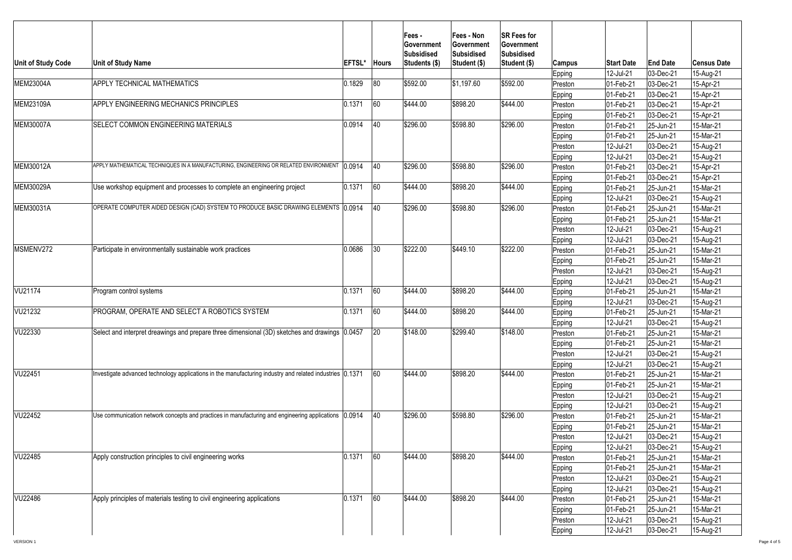| <b>Unit of Study Code</b> | <b>Unit of Study Name</b>                                                                                 | <b>EFTSL</b> | <b>Hours</b> | <b>Fees-</b><br><b>Sovernment</b><br> Subsidised<br>Students (\$) | <b> Fees - Non</b><br>∣Government<br><b>Subsidised</b><br>Student (\$) | <b>SR Fees for</b><br><b>Government</b><br><b>Subsidised</b><br>Student (\$) | <b>Campus</b> | <b>Start Date</b>        | <b>End Date</b> | <b>Census Date</b> |
|---------------------------|-----------------------------------------------------------------------------------------------------------|--------------|--------------|-------------------------------------------------------------------|------------------------------------------------------------------------|------------------------------------------------------------------------------|---------------|--------------------------|-----------------|--------------------|
|                           |                                                                                                           |              |              |                                                                   |                                                                        |                                                                              | Epping        | 12-Jul-21                | $ 03 - Dec-21$  | 15-Aug-21          |
| MEM23004A                 | <b>APPLY TECHNICAL MATHEMATICS</b>                                                                        | 0.1829       | 80           | \$592.00                                                          | \$1,197.60                                                             | \$592.00                                                                     | Preston       | 01-Feb-21                | $ 03 - Dec-21$  | 15-Apr-21          |
|                           |                                                                                                           |              |              |                                                                   |                                                                        |                                                                              | Epping        | 01-Feb-21                | $ 03 - Dec-21$  | 15-Apr-21          |
| MEM23109A                 | APPLY ENGINEERING MECHANICS PRINCIPLES                                                                    | 0.1371       | 60           | \$444.00                                                          | \$898.20                                                               | \$444.00                                                                     | Preston       | 01-Feb-21                | $ 03 - Dec-21$  | 15-Apr-21          |
|                           |                                                                                                           |              |              |                                                                   |                                                                        |                                                                              | <b>Epping</b> | 01-Feb-21                | $ 03 - Dec-21$  | 15-Apr-21          |
| <b>MEM30007A</b>          | <b>ISELECT COMMON ENGINEERING MATERIALS</b>                                                               | 0.0914       | 40           | \$296.00                                                          | \$598.80                                                               | \$296.00                                                                     | Preston       | 01-Feb-21                | $ 25 - Jun-21 $ | 15-Mar-21          |
|                           |                                                                                                           |              |              |                                                                   |                                                                        |                                                                              | Epping        | 01-Feb-21                | 25-Jun-21       | 15-Mar-21          |
|                           |                                                                                                           |              |              |                                                                   |                                                                        |                                                                              | Preston       | 12-Jul-21                | $ 03 - Dec-21$  | 15-Aug-21          |
|                           |                                                                                                           |              |              |                                                                   |                                                                        |                                                                              | <b>Epping</b> | 12-Jul-21                | $ 03 - Dec-21$  | 15-Aug-21          |
| MEM30012A                 | APPLY MATHEMATICAL TECHNIQUES IN A MANUFACTURING, ENGINEERING OR RELATED ENVIRONMENT   0.0914             |              | 40           | \$296.00                                                          | \$598.80                                                               | \$296.00                                                                     | Preston       | 01-Feb-21                | $ 03 - Dec-21 $ | 15-Apr-21          |
|                           |                                                                                                           |              |              |                                                                   |                                                                        |                                                                              | Epping        | 01-Feb-21                | $ 03 - Dec-21$  | 15-Apr-21          |
| MEM30029A                 | Use workshop equipment and processes to complete an engineering project                                   | 0.1371       | 60           | \$444.00                                                          | \$898.20                                                               | \$444.00                                                                     | Epping        | 01-Feb-21                | $ 25 - Jun-21$  | 15-Mar-21          |
|                           |                                                                                                           |              |              |                                                                   |                                                                        |                                                                              | <b>Epping</b> | 12-Jul-21                | $ 03 - Dec-21$  | 15-Aug-21          |
| MEM30031A                 | OPERATE COMPUTER AIDED DESIGN (CAD) SYSTEM TO PRODUCE BASIC DRAWING ELEMENTS 0.0914                       |              | 40           | \$296.00                                                          | \$598.80                                                               | \$296.00                                                                     | Preston       | $ 01 - \text{Feb} - 21 $ | $ 25 - Jun-21 $ | 15-Mar-21          |
|                           |                                                                                                           |              |              |                                                                   |                                                                        |                                                                              | Epping        | 01-Feb-21                | $ 25 - Jun-21$  | 15-Mar-21          |
|                           |                                                                                                           |              |              |                                                                   |                                                                        |                                                                              | Preston       | 12-Jul-21                | $ 03 - Dec-21$  | 15-Aug-21          |
|                           |                                                                                                           |              |              |                                                                   |                                                                        |                                                                              | <b>Epping</b> | 12-Jul-21                | $ 03 - Dec-21$  | 15-Aug-21          |
| MSMENV272                 | Participate in environmentally sustainable work practices                                                 | 0.0686       | 30           | \$222.00                                                          | \$449.10                                                               | \$222.00                                                                     | Preston       | 01-Feb-21                | $ 25 - Jun-21 $ | 15-Mar-21          |
|                           |                                                                                                           |              |              |                                                                   |                                                                        |                                                                              | Epping        | 01-Feb-21                | $ 25 - Jun-21 $ | 15-Mar-21          |
|                           |                                                                                                           |              |              |                                                                   |                                                                        |                                                                              | Preston       | 12-Jul-21                | $ 03 - Dec-21$  | 15-Aug-21          |
|                           |                                                                                                           |              |              |                                                                   |                                                                        |                                                                              | Epping        | 12-Jul-21                | $ 03 - Dec-21$  | 15-Aug-21          |
| VU21174                   | <b>Program control systems</b>                                                                            | 0.1371       | 160          | \$444.00                                                          | \$898.20                                                               | \$444.00                                                                     | <b>Epping</b> | 01-Feb-21                | $ 25 - Jun-21 $ | 15-Mar-21          |
|                           |                                                                                                           |              |              |                                                                   |                                                                        |                                                                              | <b>Epping</b> | 12-Jul-21                | $ 03 - Dec-21 $ | 15-Aug-21          |
| VU21232                   | <b>PROGRAM, OPERATE AND SELECT A ROBOTICS SYSTEM</b>                                                      | 0.1371       | 60           | \$444.00                                                          | \$898.20                                                               | \$444.00                                                                     | Epping        | 01-Feb-21                | $ 25 - Jun-21 $ | 15-Mar-21          |
|                           |                                                                                                           |              |              |                                                                   |                                                                        |                                                                              | <b>Epping</b> | 12-Jul-21                | $ 03 - Dec-21$  | 15-Aug-21          |
| VU22330                   | Select and interpret dreawings and prepare three dimensional (3D) sketches and drawings (0.0457           |              | 20           | \$148.00                                                          | \$299.40                                                               | \$148.00                                                                     | Preston       | 01-Feb-21                | $ 25 - Jun-21 $ | 15-Mar-21          |
|                           |                                                                                                           |              |              |                                                                   |                                                                        |                                                                              | Epping        | 01-Feb-21                | $ 25 - Jun-21 $ | 15-Mar-21          |
|                           |                                                                                                           |              |              |                                                                   |                                                                        |                                                                              | Preston       | 12-Jul-21                | $ 03 - Dec-21$  | 15-Aug-21          |
|                           |                                                                                                           |              |              |                                                                   |                                                                        |                                                                              | Epping        | 12-Jul-21                | $ 03 - Dec-21$  | 15-Aug-21          |
| VU22451                   | Investigate advanced technology applications in the manufacturing industry and related industries (0.1371 |              | 60           | $ \$444.00$                                                       | \$898.20                                                               | \$444.00                                                                     | Preston       | 01-Feb-21                | $ 25 - Jun-21$  | 15-Mar-21          |
|                           |                                                                                                           |              |              |                                                                   |                                                                        |                                                                              | Epping        | 01-Feb-21                | $ 25 - Jun-21$  | 15-Mar-21          |
|                           |                                                                                                           |              |              |                                                                   |                                                                        |                                                                              | Preston       | 12-Jul-21                | $ 03 - Dec-21$  | 15-Aug-21          |
|                           |                                                                                                           |              |              |                                                                   |                                                                        |                                                                              | <b>Epping</b> | 12-Jul-21                | $ 03 - Dec-21$  | 15-Aug-21          |
| VU22452                   | Use communication network concepts and practices in manufacturing and engineering applications (0.0914    |              | $ 40\rangle$ | \$296.00                                                          | \$598.80                                                               | \$296.00                                                                     | Preston       | 01-Feb-21                | $ 25 - Jun-21 $ | 15-Mar-21          |
|                           |                                                                                                           |              |              |                                                                   |                                                                        |                                                                              | Epping        | 01-Feb-21                | $ 25 - Jun-21 $ | 15-Mar-21          |
|                           |                                                                                                           |              |              |                                                                   |                                                                        |                                                                              | Preston       | 12-Jul-21                | $ 03 - Dec-21$  | 15-Aug-21          |
|                           |                                                                                                           |              |              |                                                                   |                                                                        |                                                                              | Epping        | 12-Jul-21                | $ 03 - Dec-21$  | 15-Aug-21          |
| VU22485                   | Apply construction principles to civil engineering works                                                  | 0.1371       | 60           | \$444.00                                                          | \$898.20                                                               | \$444.00                                                                     | Preston       | 01-Feb-21                | $ 25 - Jun-21$  | 15-Mar-21          |
|                           |                                                                                                           |              |              |                                                                   |                                                                        |                                                                              | Epping        | 01-Feb-21                | $ 25 - Jun-21 $ | 15-Mar-21          |
|                           |                                                                                                           |              |              |                                                                   |                                                                        |                                                                              | Preston       | 12-Jul-21                | $ 03 - Dec-21$  | 15-Aug-21          |
|                           |                                                                                                           |              |              |                                                                   |                                                                        |                                                                              | Epping        | 12-Jul-21                | $ 03 - Dec-21$  | 15-Aug-21          |
| <b>VU22486</b>            | Apply principles of materials testing to civil engineering applications                                   | 0.1371       | 60           | \$444.00                                                          | \$898.20                                                               | \$444.00                                                                     | Preston       | 01-Feb-21                | $ 25 - Jun-21 $ | 15-Mar-21          |
|                           |                                                                                                           |              |              |                                                                   |                                                                        |                                                                              | Epping        | 01-Feb-21                | $ 25 - Jun-21 $ | 15-Mar-21          |
|                           |                                                                                                           |              |              |                                                                   |                                                                        |                                                                              | Preston       | 12-Jul-21                | $ 03 - Dec-21$  | 15-Aug-21          |
|                           |                                                                                                           |              |              |                                                                   |                                                                        |                                                                              | <b>Epping</b> | 12-Jul-21                | $ 03$ -Dec-21   | 15-Aug-21          |